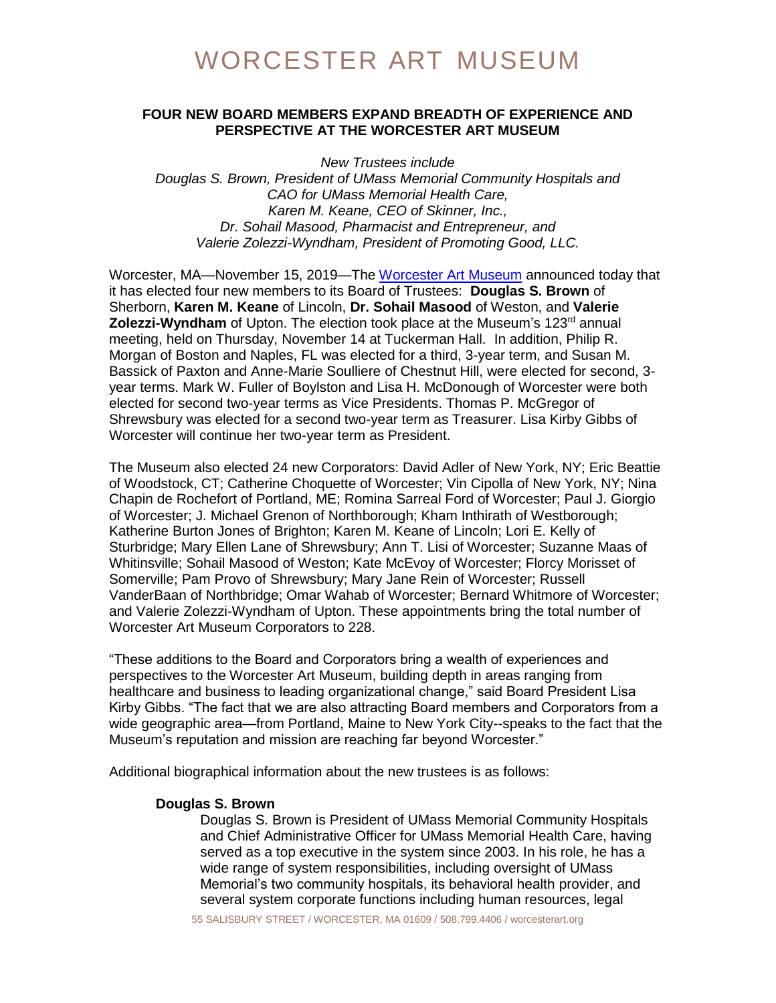# **FOUR NEW BOARD MEMBERS EXPAND BREADTH OF EXPERIENCE AND PERSPECTIVE AT THE WORCESTER ART MUSEUM**

*New Trustees include Douglas S. Brown, President of UMass Memorial Community Hospitals and CAO for UMass Memorial Health Care, Karen M. Keane, CEO of Skinner, Inc., Dr. Sohail Masood, Pharmacist and Entrepreneur, and Valerie Zolezzi-Wyndham, President of Promoting Good, LLC.*

Worcester, MA—November 15, 2019—The [Worcester Art Museum](http://www.worcesterart.org/) announced today that it has elected four new members to its Board of Trustees: **Douglas S. Brown** of Sherborn, **Karen M. Keane** of Lincoln, **Dr. Sohail Masood** of Weston, and **Valerie Zolezzi-Wyndham** of Upton. The election took place at the Museum's 123<sup>rd</sup> annual meeting, held on Thursday, November 14 at Tuckerman Hall. In addition, Philip R. Morgan of Boston and Naples, FL was elected for a third, 3-year term, and Susan M. Bassick of Paxton and Anne-Marie Soulliere of Chestnut Hill, were elected for second, 3 year terms. Mark W. Fuller of Boylston and Lisa H. McDonough of Worcester were both elected for second two-year terms as Vice Presidents. Thomas P. McGregor of Shrewsbury was elected for a second two-year term as Treasurer. Lisa Kirby Gibbs of Worcester will continue her two-year term as President.

The Museum also elected 24 new Corporators: David Adler of New York, NY; Eric Beattie of Woodstock, CT; Catherine Choquette of Worcester; Vin Cipolla of New York, NY; Nina Chapin de Rochefort of Portland, ME; Romina Sarreal Ford of Worcester; Paul J. Giorgio of Worcester; J. Michael Grenon of Northborough; Kham Inthirath of Westborough; Katherine Burton Jones of Brighton; Karen M. Keane of Lincoln; Lori E. Kelly of Sturbridge; Mary Ellen Lane of Shrewsbury; Ann T. Lisi of Worcester; Suzanne Maas of Whitinsville; Sohail Masood of Weston; Kate McEvoy of Worcester; Florcy Morisset of Somerville; Pam Provo of Shrewsbury; Mary Jane Rein of Worcester; Russell VanderBaan of Northbridge; Omar Wahab of Worcester; Bernard Whitmore of Worcester; and Valerie Zolezzi-Wyndham of Upton. These appointments bring the total number of Worcester Art Museum Corporators to 228.

"These additions to the Board and Corporators bring a wealth of experiences and perspectives to the Worcester Art Museum, building depth in areas ranging from healthcare and business to leading organizational change," said Board President Lisa Kirby Gibbs. "The fact that we are also attracting Board members and Corporators from a wide geographic area—from Portland, Maine to New York City--speaks to the fact that the Museum's reputation and mission are reaching far beyond Worcester."

Additional biographical information about the new trustees is as follows:

#### **Douglas S. Brown**

Douglas S. Brown is President of UMass Memorial Community Hospitals and Chief Administrative Officer for UMass Memorial Health Care, having served as a top executive in the system since 2003. In his role, he has a wide range of system responsibilities, including oversight of UMass Memorial's two community hospitals, its behavioral health provider, and several system corporate functions including human resources, legal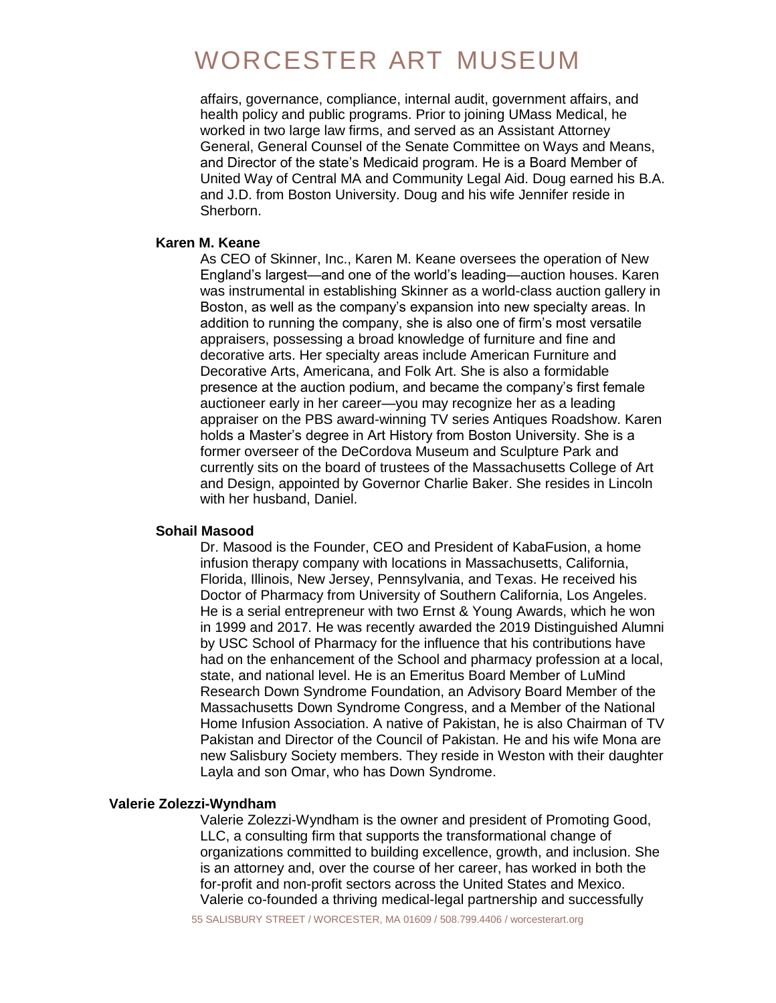# WORCESTER ART MUSEUM

affairs, governance, compliance, internal audit, government affairs, and health policy and public programs. Prior to joining UMass Medical, he worked in two large law firms, and served as an Assistant Attorney General, General Counsel of the Senate Committee on Ways and Means, and Director of the state's Medicaid program. He is a Board Member of United Way of Central MA and Community Legal Aid. Doug earned his B.A. and J.D. from Boston University. Doug and his wife Jennifer reside in Sherborn.

### **Karen M. Keane**

As CEO of Skinner, Inc., Karen M. Keane oversees the operation of New England's largest—and one of the world's leading—auction houses. Karen was instrumental in establishing Skinner as a world-class auction gallery in Boston, as well as the company's expansion into new specialty areas. In addition to running the company, she is also one of firm's most versatile appraisers, possessing a broad knowledge of furniture and fine and decorative arts. Her specialty areas include American Furniture and Decorative Arts, Americana, and Folk Art. She is also a formidable presence at the auction podium, and became the company's first female auctioneer early in her career—you may recognize her as a leading appraiser on the PBS award-winning TV series Antiques Roadshow. Karen holds a Master's degree in Art History from Boston University. She is a former overseer of the DeCordova Museum and Sculpture Park and currently sits on the board of trustees of the Massachusetts College of Art and Design, appointed by Governor Charlie Baker. She resides in Lincoln with her husband, Daniel.

#### **Sohail Masood**

Dr. Masood is the Founder, CEO and President of KabaFusion, a home infusion therapy company with locations in Massachusetts, California, Florida, Illinois, New Jersey, Pennsylvania, and Texas. He received his Doctor of Pharmacy from University of Southern California, Los Angeles. He is a serial entrepreneur with two Ernst & Young Awards, which he won in 1999 and 2017. He was recently awarded the 2019 Distinguished Alumni by USC School of Pharmacy for the influence that his contributions have had on the enhancement of the School and pharmacy profession at a local, state, and national level. He is an Emeritus Board Member of LuMind Research Down Syndrome Foundation, an Advisory Board Member of the Massachusetts Down Syndrome Congress, and a Member of the National Home Infusion Association. A native of Pakistan, he is also Chairman of TV Pakistan and Director of the Council of Pakistan. He and his wife Mona are new Salisbury Society members. They reside in Weston with their daughter Layla and son Omar, who has Down Syndrome.

#### **Valerie Zolezzi-Wyndham**

Valerie Zolezzi-Wyndham is the owner and president of Promoting Good, LLC, a consulting firm that supports the transformational change of organizations committed to building excellence, growth, and inclusion. She is an attorney and, over the course of her career, has worked in both the for-profit and non-profit sectors across the United States and Mexico. Valerie co-founded a thriving medical-legal partnership and successfully